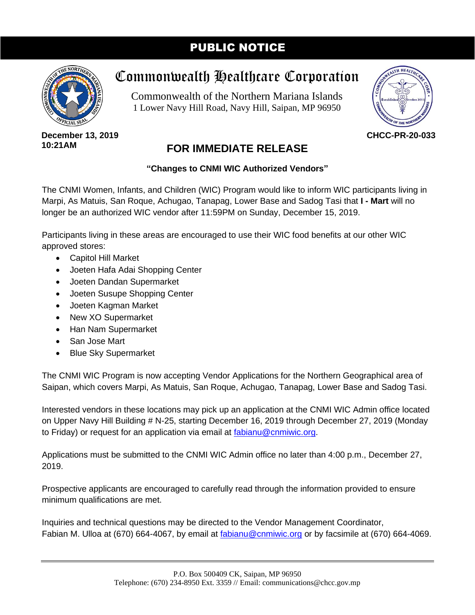## PUBLIC NOTICE



## Commonwealth Healthcare Corporation

Commonwealth of the Northern Mariana Islands 1 Lower Navy Hill Road, Navy Hill, Saipan, MP 96950



**December 13, 2019 10:21AM**

## **FOR IMMEDIATE RELEASE**

## **"Changes to CNMI WIC Authorized Vendors"**

The CNMI Women, Infants, and Children (WIC) Program would like to inform WIC participants living in Marpi, As Matuis, San Roque, Achugao, Tanapag, Lower Base and Sadog Tasi that **I - Mart** will no longer be an authorized WIC vendor after 11:59PM on Sunday, December 15, 2019.

Participants living in these areas are encouraged to use their WIC food benefits at our other WIC approved stores:

- Capitol Hill Market
- Joeten Hafa Adai Shopping Center
- Joeten Dandan Supermarket
- Joeten Susupe Shopping Center
- Joeten Kagman Market
- New XO Supermarket
- Han Nam Supermarket
- San Jose Mart
- Blue Sky Supermarket

The CNMI WIC Program is now accepting Vendor Applications for the Northern Geographical area of Saipan, which covers Marpi, As Matuis, San Roque, Achugao, Tanapag, Lower Base and Sadog Tasi.

Interested vendors in these locations may pick up an application at the CNMI WIC Admin office located on Upper Navy Hill Building # N-25, starting December 16, 2019 through December 27, 2019 (Monday to Friday) or request for an application via email at [fabianu@cnmiwic.org.](mailto:fabianu@cnmiwic.org)

Applications must be submitted to the CNMI WIC Admin office no later than 4:00 p.m., December 27, 2019.

Prospective applicants are encouraged to carefully read through the information provided to ensure minimum qualifications are met.

Inquiries and technical questions may be directed to the Vendor Management Coordinator, Fabian M. Ulloa at (670) 664-4067, by email at [fabianu@cnmiwic.org](mailto:fabianu@cnmiwic.org) or by facsimile at (670) 664-4069.